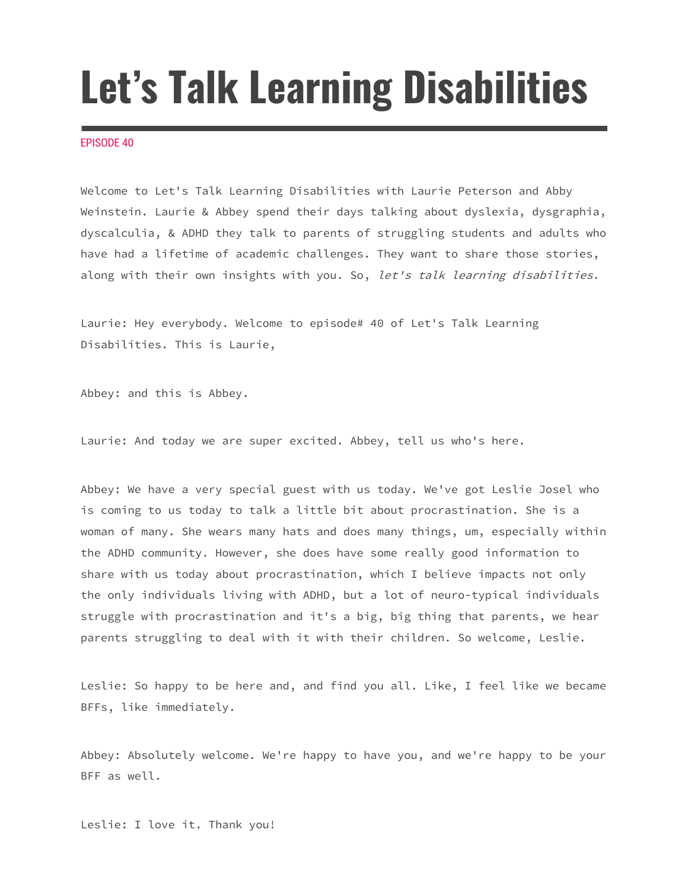# **Let's Talk Learning Disabilities**

## EPISODE 40

Welcome to Let's Talk Learning Disabilities with Laurie Peterson and Abby Weinstein. Laurie & Abbey spend their days talking about dyslexia, dysgraphia, dyscalculia, & ADHD they talk to parents of struggling students and adults who have had a lifetime of academic challenges. They want to share those stories, along with their own insights with you. So, let's talk learning disabilities.

Laurie: Hey everybody. Welcome to episode# 40 of Let's Talk Learning Disabilities. This is Laurie,

Abbey: and this is Abbey.

Laurie: And today we are super excited. Abbey, tell us who's here.

Abbey: We have a very special guest with us today. We've got Leslie Josel who is coming to us today to talk a little bit about procrastination. She is a woman of many. She wears many hats and does many things, um, especially within the ADHD community. However, she does have some really good information to share with us today about procrastination, which I believe impacts not only the only individuals living with ADHD, but a lot of neuro-typical individuals struggle with procrastination and it's a big, big thing that parents, we hear parents struggling to deal with it with their children. So welcome, Leslie.

Leslie: So happy to be here and, and find you all. Like, I feel like we became BFFs, like immediately.

Abbey: Absolutely welcome. We're happy to have you, and we're happy to be your BFF as well.

Leslie: I love it. Thank you!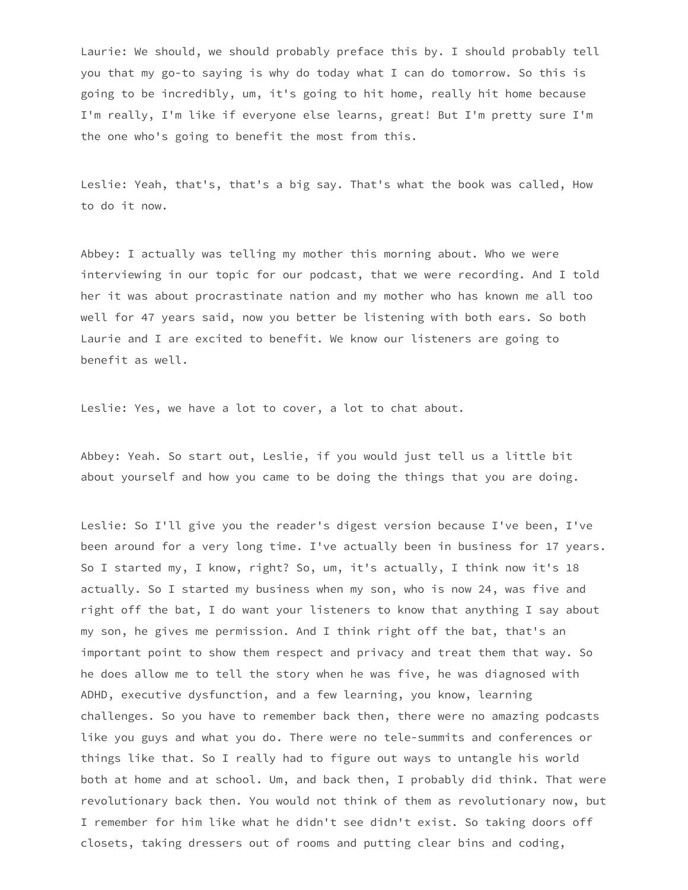Laurie: We should, we should probably preface this by. I should probably tell you that my go-to saying is why do today what I can do tomorrow. So this is going to be incredibly, um, it's going to hit home, really hit home because I'm really, I'm like if everyone else learns, great! But I'm pretty sure I'm the one who's going to benefit the most from this.

Leslie: Yeah, that's, that's a big say. That's what the book was called, How to do it now.

Abbey: I actually was telling my mother this morning about. Who we were interviewing in our topic for our podcast, that we were recording. And I told her it was about procrastinate nation and my mother who has known me all too well for 47 years said, now you better be listening with both ears. So both Laurie and I are excited to benefit. We know our listeners are going to benefit as well.

Leslie: Yes, we have a lot to cover, a lot to chat about.

Abbey: Yeah. So start out, Leslie, if you would just tell us a little bit about yourself and how you came to be doing the things that you are doing.

Leslie: So I'll give you the reader's digest version because I've been, I've been around for a very long time. I've actually been in business for 17 years. So I started my, I know, right? So, um, it's actually, I think now it's 18 actually. So I started my business when my son, who is now 24, was five and right off the bat, I do want your listeners to know that anything I say about my son, he gives me permission. And I think right off the bat, that's an important point to show them respect and privacy and treat them that way. So he does allow me to tell the story when he was five, he was diagnosed with ADHD, executive dysfunction, and a few learning, you know, learning challenges. So you have to remember back then, there were no amazing podcasts like you guys and what you do. There were no tele-summits and conferences or things like that. So I really had to figure out ways to untangle his world both at home and at school. Um, and back then, I probably did think. That were revolutionary back then. You would not think of them as revolutionary now, but I remember for him like what he didn't see didn't exist. So taking doors off closets, taking dressers out of rooms and putting clear bins and coding,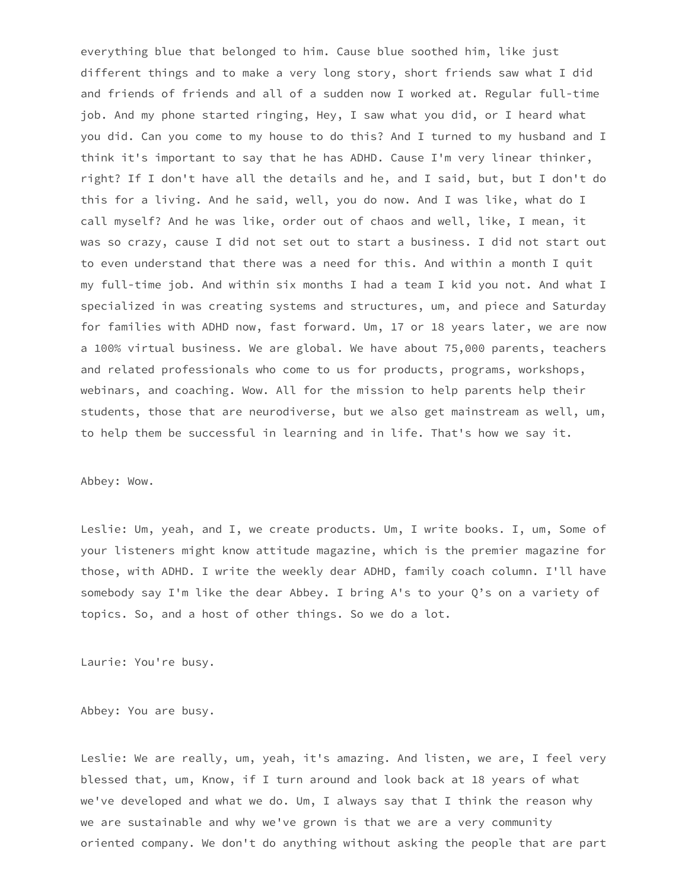everything blue that belonged to him. Cause blue soothed him, like just different things and to make a very long story, short friends saw what I did and friends of friends and all of a sudden now I worked at. Regular full-time job. And my phone started ringing, Hey, I saw what you did, or I heard what you did. Can you come to my house to do this? And I turned to my husband and I think it's important to say that he has ADHD. Cause I'm very linear thinker, right? If I don't have all the details and he, and I said, but, but I don't do this for a living. And he said, well, you do now. And I was like, what do I call myself? And he was like, order out of chaos and well, like, I mean, it was so crazy, cause I did not set out to start a business. I did not start out to even understand that there was a need for this. And within a month I quit my full-time job. And within six months I had a team I kid you not. And what I specialized in was creating systems and structures, um, and piece and Saturday for families with ADHD now, fast forward. Um, 17 or 18 years later, we are now a 100% virtual business. We are global. We have about 75,000 parents, teachers and related professionals who come to us for products, programs, workshops, webinars, and coaching. Wow. All for the mission to help parents help their students, those that are neurodiverse, but we also get mainstream as well, um, to help them be successful in learning and in life. That's how we say it.

## Abbey: Wow.

Leslie: Um, yeah, and I, we create products. Um, I write books. I, um, Some of your listeners might know attitude magazine, which is the premier magazine for those, with ADHD. I write the weekly dear ADHD, family coach column. I'll have somebody say I'm like the dear Abbey. I bring A's to your Q's on a variety of topics. So, and a host of other things. So we do a lot.

Laurie: You're busy.

Abbey: You are busy.

Leslie: We are really, um, yeah, it's amazing. And listen, we are, I feel very blessed that, um, Know, if I turn around and look back at 18 years of what we've developed and what we do. Um, I always say that I think the reason why we are sustainable and why we've grown is that we are a very community oriented company. We don't do anything without asking the people that are part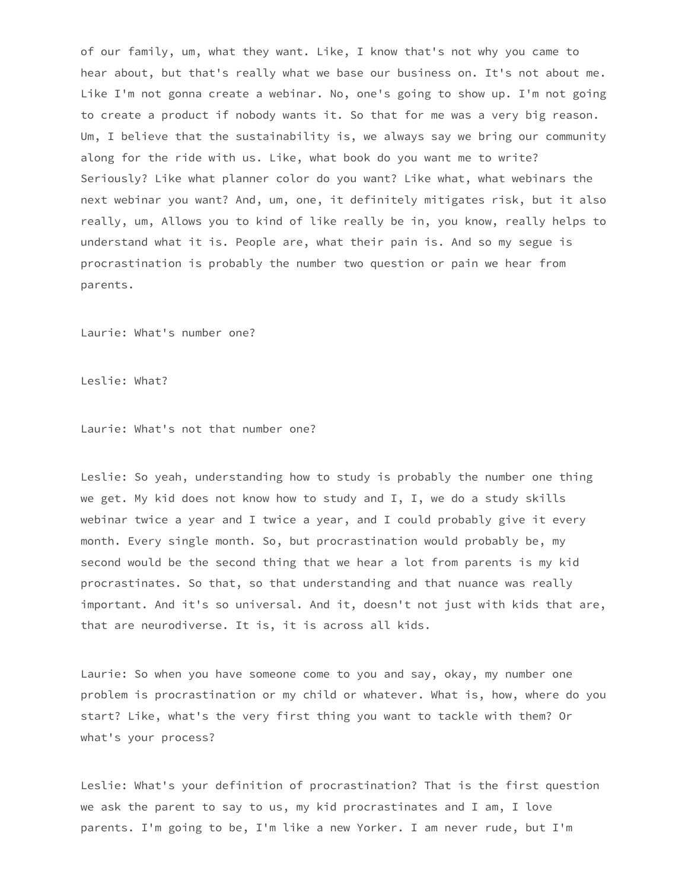of our family, um, what they want. Like, I know that's not why you came to hear about, but that's really what we base our business on. It's not about me. Like I'm not gonna create a webinar. No, one's going to show up. I'm not going to create a product if nobody wants it. So that for me was a very big reason. Um, I believe that the sustainability is, we always say we bring our community along for the ride with us. Like, what book do you want me to write? Seriously? Like what planner color do you want? Like what, what webinars the next webinar you want? And, um, one, it definitely mitigates risk, but it also really, um, Allows you to kind of like really be in, you know, really helps to understand what it is. People are, what their pain is. And so my segue is procrastination is probably the number two question or pain we hear from parents.

Laurie: What's number one?

Leslie: What?

Laurie: What's not that number one?

Leslie: So yeah, understanding how to study is probably the number one thing we get. My kid does not know how to study and I, I, we do a study skills webinar twice a year and I twice a year, and I could probably give it every month. Every single month. So, but procrastination would probably be, my second would be the second thing that we hear a lot from parents is my kid procrastinates. So that, so that understanding and that nuance was really important. And it's so universal. And it, doesn't not just with kids that are, that are neurodiverse. It is, it is across all kids.

Laurie: So when you have someone come to you and say, okay, my number one problem is procrastination or my child or whatever. What is, how, where do you start? Like, what's the very first thing you want to tackle with them? Or what's your process?

Leslie: What's your definition of procrastination? That is the first question we ask the parent to say to us, my kid procrastinates and I am, I love parents. I'm going to be, I'm like a new Yorker. I am never rude, but I'm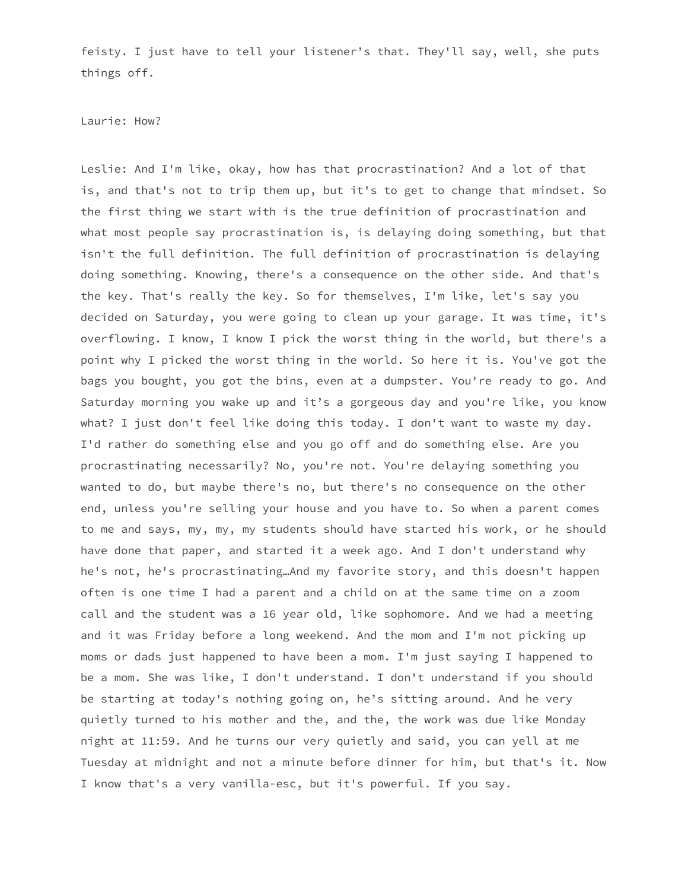feisty. I just have to tell your listener's that. They'll say, well, she puts things off.

#### Laurie: How?

Leslie: And I'm like, okay, how has that procrastination? And a lot of that is, and that's not to trip them up, but it's to get to change that mindset. So the first thing we start with is the true definition of procrastination and what most people say procrastination is, is delaying doing something, but that isn't the full definition. The full definition of procrastination is delaying doing something. Knowing, there's a consequence on the other side. And that's the key. That's really the key. So for themselves, I'm like, let's say you decided on Saturday, you were going to clean up your garage. It was time, it's overflowing. I know, I know I pick the worst thing in the world, but there's a point why I picked the worst thing in the world. So here it is. You've got the bags you bought, you got the bins, even at a dumpster. You're ready to go. And Saturday morning you wake up and it's a gorgeous day and you're like, you know what? I just don't feel like doing this today. I don't want to waste my day. I'd rather do something else and you go off and do something else. Are you procrastinating necessarily? No, you're not. You're delaying something you wanted to do, but maybe there's no, but there's no consequence on the other end, unless you're selling your house and you have to. So when a parent comes to me and says, my, my, my students should have started his work, or he should have done that paper, and started it a week ago. And I don't understand why he's not, he's procrastinating…And my favorite story, and this doesn't happen often is one time I had a parent and a child on at the same time on a zoom call and the student was a 16 year old, like sophomore. And we had a meeting and it was Friday before a long weekend. And the mom and I'm not picking up moms or dads just happened to have been a mom. I'm just saying I happened to be a mom. She was like, I don't understand. I don't understand if you should be starting at today's nothing going on, he's sitting around. And he very quietly turned to his mother and the, and the, the work was due like Monday night at 11:59. And he turns our very quietly and said, you can yell at me Tuesday at midnight and not a minute before dinner for him, but that's it. Now I know that's a very vanilla-esc, but it's powerful. If you say.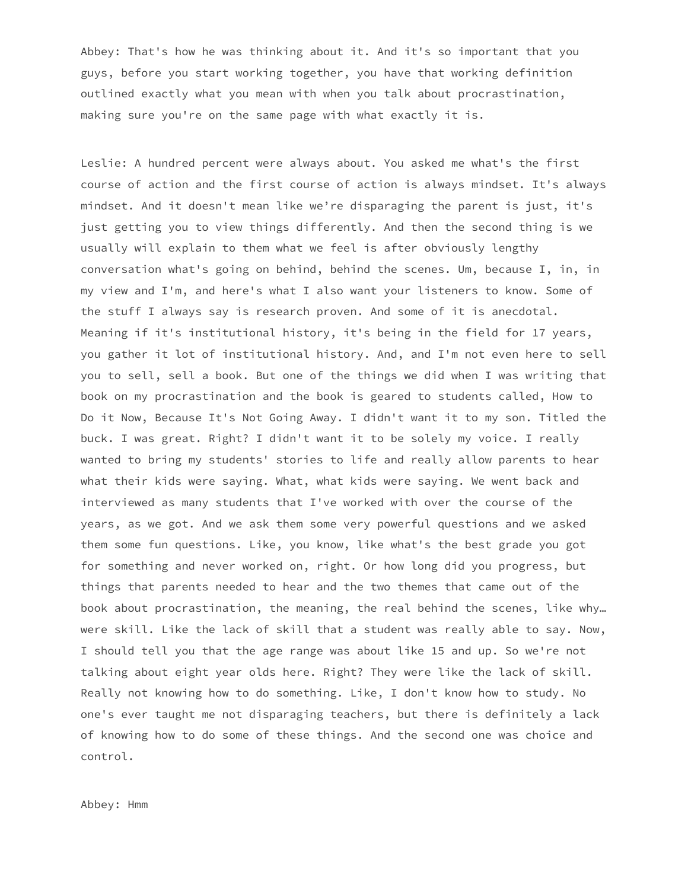Abbey: That's how he was thinking about it. And it's so important that you guys, before you start working together, you have that working definition outlined exactly what you mean with when you talk about procrastination, making sure you're on the same page with what exactly it is.

Leslie: A hundred percent were always about. You asked me what's the first course of action and the first course of action is always mindset. It's always mindset. And it doesn't mean like we're disparaging the parent is just, it's just getting you to view things differently. And then the second thing is we usually will explain to them what we feel is after obviously lengthy conversation what's going on behind, behind the scenes. Um, because I, in, in my view and I'm, and here's what I also want your listeners to know. Some of the stuff I always say is research proven. And some of it is anecdotal. Meaning if it's institutional history, it's being in the field for 17 years, you gather it lot of institutional history. And, and I'm not even here to sell you to sell, sell a book. But one of the things we did when I was writing that book on my procrastination and the book is geared to students called, How to Do it Now, Because It's Not Going Away. I didn't want it to my son. Titled the buck. I was great. Right? I didn't want it to be solely my voice. I really wanted to bring my students' stories to life and really allow parents to hear what their kids were saying. What, what kids were saying. We went back and interviewed as many students that I've worked with over the course of the years, as we got. And we ask them some very powerful questions and we asked them some fun questions. Like, you know, like what's the best grade you got for something and never worked on, right. Or how long did you progress, but things that parents needed to hear and the two themes that came out of the book about procrastination, the meaning, the real behind the scenes, like why… were skill. Like the lack of skill that a student was really able to say. Now, I should tell you that the age range was about like 15 and up. So we're not talking about eight year olds here. Right? They were like the lack of skill. Really not knowing how to do something. Like, I don't know how to study. No one's ever taught me not disparaging teachers, but there is definitely a lack of knowing how to do some of these things. And the second one was choice and control.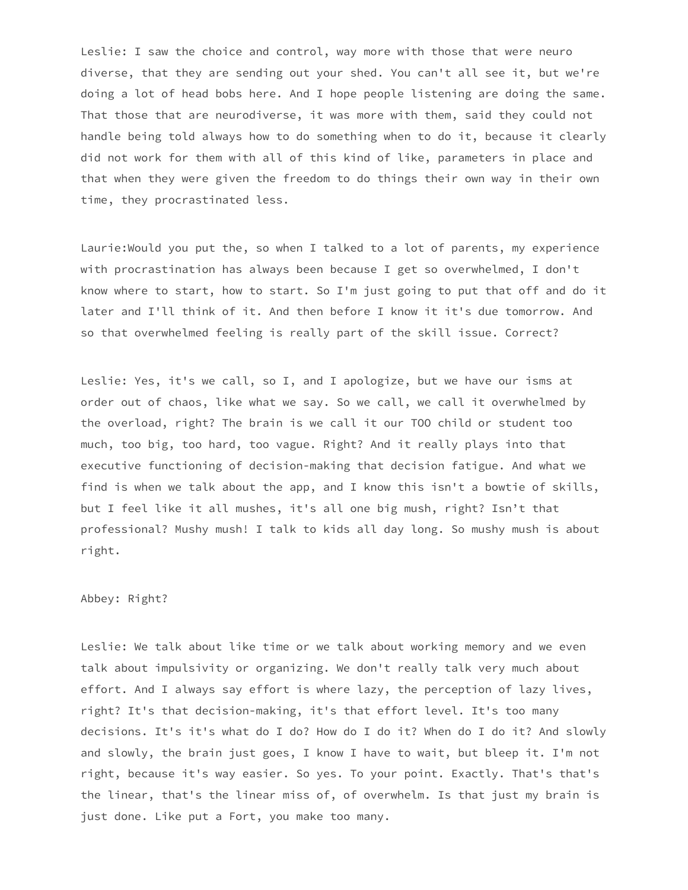Leslie: I saw the choice and control, way more with those that were neuro diverse, that they are sending out your shed. You can't all see it, but we're doing a lot of head bobs here. And I hope people listening are doing the same. That those that are neurodiverse, it was more with them, said they could not handle being told always how to do something when to do it, because it clearly did not work for them with all of this kind of like, parameters in place and that when they were given the freedom to do things their own way in their own time, they procrastinated less.

Laurie:Would you put the, so when I talked to a lot of parents, my experience with procrastination has always been because I get so overwhelmed, I don't know where to start, how to start. So I'm just going to put that off and do it later and I'll think of it. And then before I know it it's due tomorrow. And so that overwhelmed feeling is really part of the skill issue. Correct?

Leslie: Yes, it's we call, so I, and I apologize, but we have our isms at order out of chaos, like what we say. So we call, we call it overwhelmed by the overload, right? The brain is we call it our TOO child or student too much, too big, too hard, too vague. Right? And it really plays into that executive functioning of decision-making that decision fatigue. And what we find is when we talk about the app, and I know this isn't a bowtie of skills, but I feel like it all mushes, it's all one big mush, right? Isn't that professional? Mushy mush! I talk to kids all day long. So mushy mush is about right.

# Abbey: Right?

Leslie: We talk about like time or we talk about working memory and we even talk about impulsivity or organizing. We don't really talk very much about effort. And I always say effort is where lazy, the perception of lazy lives, right? It's that decision-making, it's that effort level. It's too many decisions. It's it's what do I do? How do I do it? When do I do it? And slowly and slowly, the brain just goes, I know I have to wait, but bleep it. I'm not right, because it's way easier. So yes. To your point. Exactly. That's that's the linear, that's the linear miss of, of overwhelm. Is that just my brain is just done. Like put a Fort, you make too many.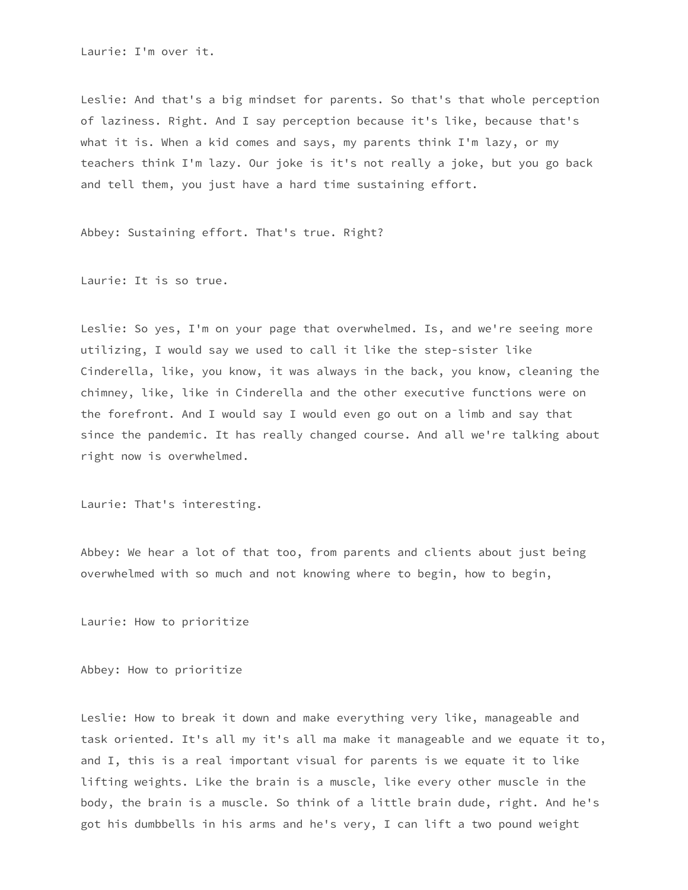Laurie: I'm over it.

Leslie: And that's a big mindset for parents. So that's that whole perception of laziness. Right. And I say perception because it's like, because that's what it is. When a kid comes and says, my parents think I'm lazy, or my teachers think I'm lazy. Our joke is it's not really a joke, but you go back and tell them, you just have a hard time sustaining effort.

Abbey: Sustaining effort. That's true. Right?

Laurie: It is so true.

Leslie: So yes, I'm on your page that overwhelmed. Is, and we're seeing more utilizing, I would say we used to call it like the step-sister like Cinderella, like, you know, it was always in the back, you know, cleaning the chimney, like, like in Cinderella and the other executive functions were on the forefront. And I would say I would even go out on a limb and say that since the pandemic. It has really changed course. And all we're talking about right now is overwhelmed.

Laurie: That's interesting.

Abbey: We hear a lot of that too, from parents and clients about just being overwhelmed with so much and not knowing where to begin, how to begin,

Laurie: How to prioritize

Abbey: How to prioritize

Leslie: How to break it down and make everything very like, manageable and task oriented. It's all my it's all ma make it manageable and we equate it to, and I, this is a real important visual for parents is we equate it to like lifting weights. Like the brain is a muscle, like every other muscle in the body, the brain is a muscle. So think of a little brain dude, right. And he's got his dumbbells in his arms and he's very, I can lift a two pound weight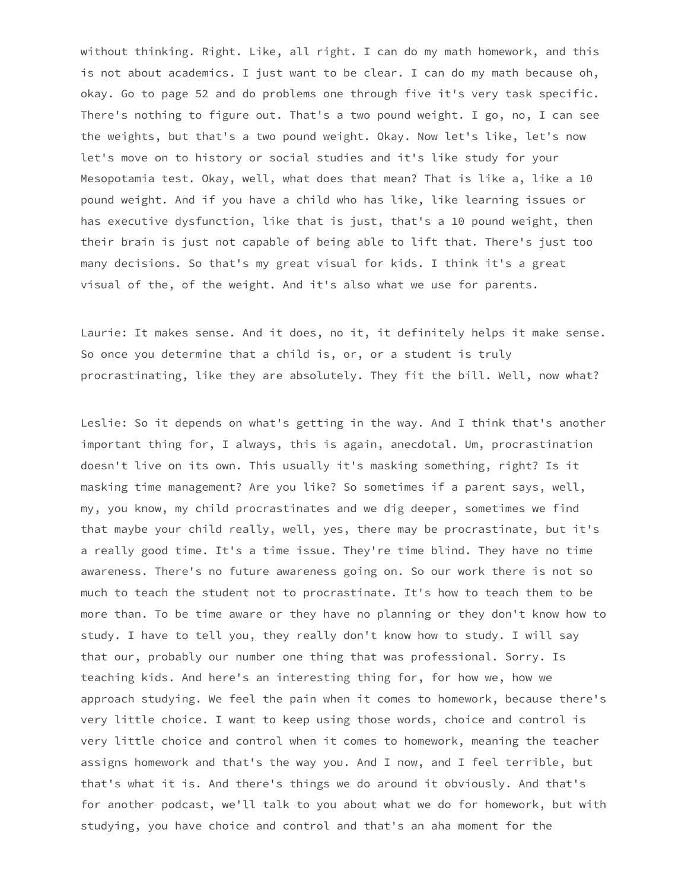without thinking. Right. Like, all right. I can do my math homework, and this is not about academics. I just want to be clear. I can do my math because oh, okay. Go to page 52 and do problems one through five it's very task specific. There's nothing to figure out. That's a two pound weight. I go, no, I can see the weights, but that's a two pound weight. Okay. Now let's like, let's now let's move on to history or social studies and it's like study for your Mesopotamia test. Okay, well, what does that mean? That is like a, like a 10 pound weight. And if you have a child who has like, like learning issues or has executive dysfunction, like that is just, that's a 10 pound weight, then their brain is just not capable of being able to lift that. There's just too many decisions. So that's my great visual for kids. I think it's a great visual of the, of the weight. And it's also what we use for parents.

Laurie: It makes sense. And it does, no it, it definitely helps it make sense. So once you determine that a child is, or, or a student is truly procrastinating, like they are absolutely. They fit the bill. Well, now what?

Leslie: So it depends on what's getting in the way. And I think that's another important thing for, I always, this is again, anecdotal. Um, procrastination doesn't live on its own. This usually it's masking something, right? Is it masking time management? Are you like? So sometimes if a parent says, well, my, you know, my child procrastinates and we dig deeper, sometimes we find that maybe your child really, well, yes, there may be procrastinate, but it's a really good time. It's a time issue. They're time blind. They have no time awareness. There's no future awareness going on. So our work there is not so much to teach the student not to procrastinate. It's how to teach them to be more than. To be time aware or they have no planning or they don't know how to study. I have to tell you, they really don't know how to study. I will say that our, probably our number one thing that was professional. Sorry. Is teaching kids. And here's an interesting thing for, for how we, how we approach studying. We feel the pain when it comes to homework, because there's very little choice. I want to keep using those words, choice and control is very little choice and control when it comes to homework, meaning the teacher assigns homework and that's the way you. And I now, and I feel terrible, but that's what it is. And there's things we do around it obviously. And that's for another podcast, we'll talk to you about what we do for homework, but with studying, you have choice and control and that's an aha moment for the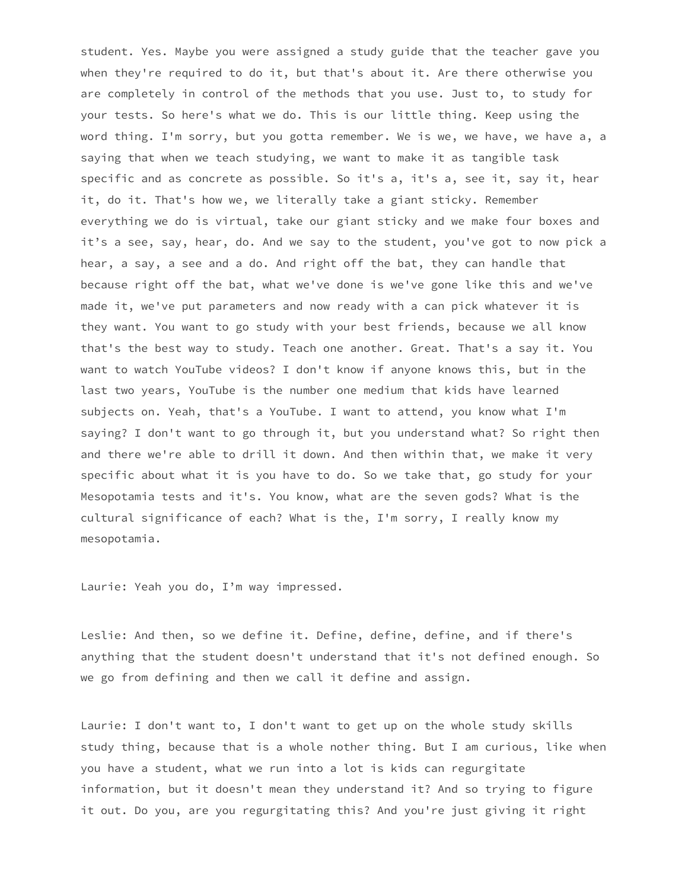student. Yes. Maybe you were assigned a study guide that the teacher gave you when they're required to do it, but that's about it. Are there otherwise you are completely in control of the methods that you use. Just to, to study for your tests. So here's what we do. This is our little thing. Keep using the word thing. I'm sorry, but you gotta remember. We is we, we have, we have a, a saying that when we teach studying, we want to make it as tangible task specific and as concrete as possible. So it's a, it's a, see it, say it, hear it, do it. That's how we, we literally take a giant sticky. Remember everything we do is virtual, take our giant sticky and we make four boxes and it's a see, say, hear, do. And we say to the student, you've got to now pick a hear, a say, a see and a do. And right off the bat, they can handle that because right off the bat, what we've done is we've gone like this and we've made it, we've put parameters and now ready with a can pick whatever it is they want. You want to go study with your best friends, because we all know that's the best way to study. Teach one another. Great. That's a say it. You want to watch YouTube videos? I don't know if anyone knows this, but in the last two years, YouTube is the number one medium that kids have learned subjects on. Yeah, that's a YouTube. I want to attend, you know what I'm saying? I don't want to go through it, but you understand what? So right then and there we're able to drill it down. And then within that, we make it very specific about what it is you have to do. So we take that, go study for your Mesopotamia tests and it's. You know, what are the seven gods? What is the cultural significance of each? What is the, I'm sorry, I really know my mesopotamia.

Laurie: Yeah you do, I'm way impressed.

Leslie: And then, so we define it. Define, define, define, and if there's anything that the student doesn't understand that it's not defined enough. So we go from defining and then we call it define and assign.

Laurie: I don't want to, I don't want to get up on the whole study skills study thing, because that is a whole nother thing. But I am curious, like when you have a student, what we run into a lot is kids can regurgitate information, but it doesn't mean they understand it? And so trying to figure it out. Do you, are you regurgitating this? And you're just giving it right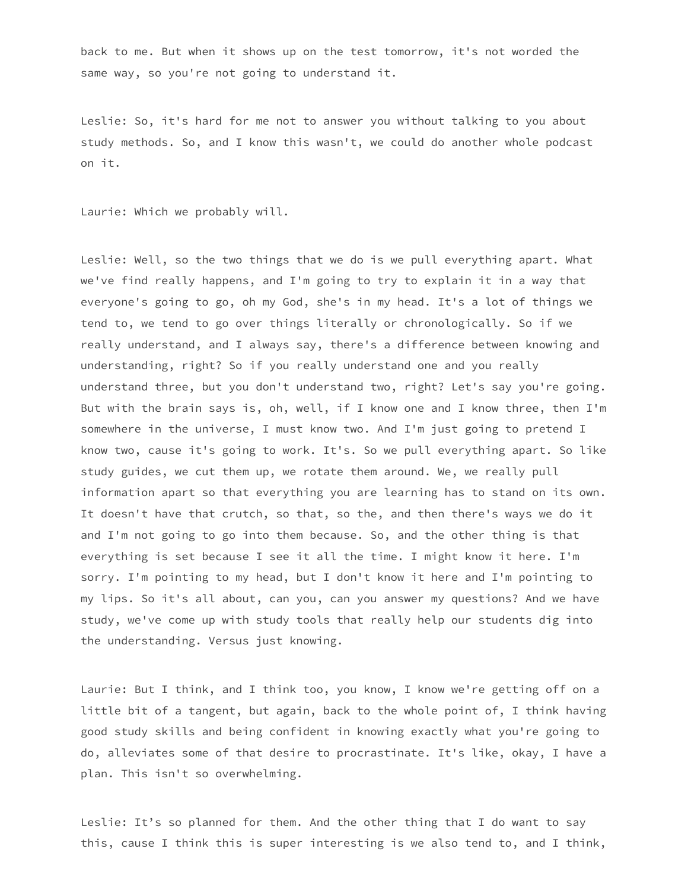back to me. But when it shows up on the test tomorrow, it's not worded the same way, so you're not going to understand it.

Leslie: So, it's hard for me not to answer you without talking to you about study methods. So, and I know this wasn't, we could do another whole podcast on it.

Laurie: Which we probably will.

Leslie: Well, so the two things that we do is we pull everything apart. What we've find really happens, and I'm going to try to explain it in a way that everyone's going to go, oh my God, she's in my head. It's a lot of things we tend to, we tend to go over things literally or chronologically. So if we really understand, and I always say, there's a difference between knowing and understanding, right? So if you really understand one and you really understand three, but you don't understand two, right? Let's say you're going. But with the brain says is, oh, well, if I know one and I know three, then I'm somewhere in the universe, I must know two. And I'm just going to pretend I know two, cause it's going to work. It's. So we pull everything apart. So like study guides, we cut them up, we rotate them around. We, we really pull information apart so that everything you are learning has to stand on its own. It doesn't have that crutch, so that, so the, and then there's ways we do it and I'm not going to go into them because. So, and the other thing is that everything is set because I see it all the time. I might know it here. I'm sorry. I'm pointing to my head, but I don't know it here and I'm pointing to my lips. So it's all about, can you, can you answer my questions? And we have study, we've come up with study tools that really help our students dig into the understanding. Versus just knowing.

Laurie: But I think, and I think too, you know, I know we're getting off on a little bit of a tangent, but again, back to the whole point of, I think having good study skills and being confident in knowing exactly what you're going to do, alleviates some of that desire to procrastinate. It's like, okay, I have a plan. This isn't so overwhelming.

Leslie: It's so planned for them. And the other thing that I do want to say this, cause I think this is super interesting is we also tend to, and I think,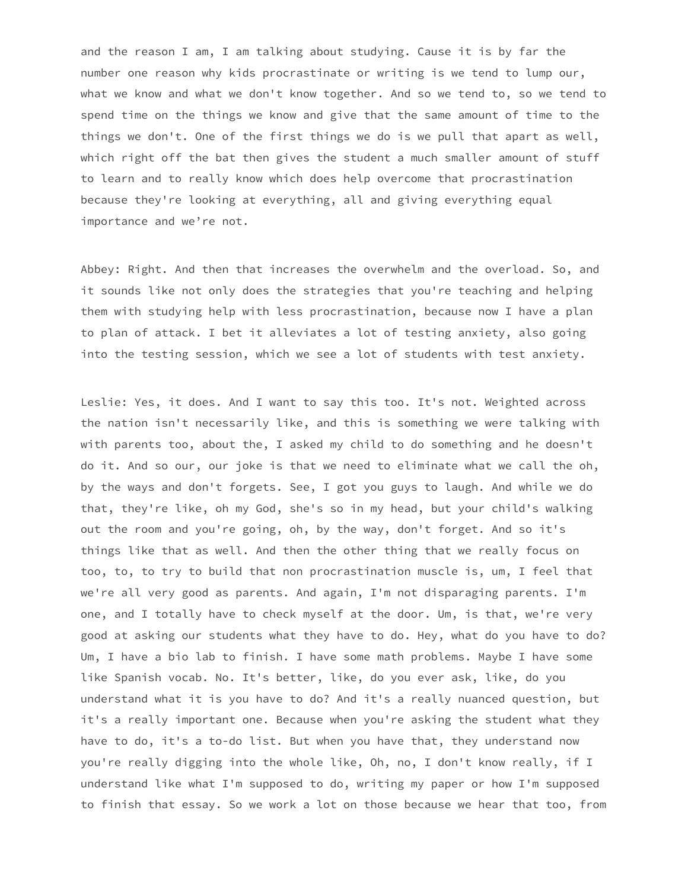and the reason I am, I am talking about studying. Cause it is by far the number one reason why kids procrastinate or writing is we tend to lump our, what we know and what we don't know together. And so we tend to, so we tend to spend time on the things we know and give that the same amount of time to the things we don't. One of the first things we do is we pull that apart as well, which right off the bat then gives the student a much smaller amount of stuff to learn and to really know which does help overcome that procrastination because they're looking at everything, all and giving everything equal importance and we're not.

Abbey: Right. And then that increases the overwhelm and the overload. So, and it sounds like not only does the strategies that you're teaching and helping them with studying help with less procrastination, because now I have a plan to plan of attack. I bet it alleviates a lot of testing anxiety, also going into the testing session, which we see a lot of students with test anxiety.

Leslie: Yes, it does. And I want to say this too. It's not. Weighted across the nation isn't necessarily like, and this is something we were talking with with parents too, about the, I asked my child to do something and he doesn't do it. And so our, our joke is that we need to eliminate what we call the oh, by the ways and don't forgets. See, I got you guys to laugh. And while we do that, they're like, oh my God, she's so in my head, but your child's walking out the room and you're going, oh, by the way, don't forget. And so it's things like that as well. And then the other thing that we really focus on too, to, to try to build that non procrastination muscle is, um, I feel that we're all very good as parents. And again, I'm not disparaging parents. I'm one, and I totally have to check myself at the door. Um, is that, we're very good at asking our students what they have to do. Hey, what do you have to do? Um, I have a bio lab to finish. I have some math problems. Maybe I have some like Spanish vocab. No. It's better, like, do you ever ask, like, do you understand what it is you have to do? And it's a really nuanced question, but it's a really important one. Because when you're asking the student what they have to do, it's a to-do list. But when you have that, they understand now you're really digging into the whole like, Oh, no, I don't know really, if I understand like what I'm supposed to do, writing my paper or how I'm supposed to finish that essay. So we work a lot on those because we hear that too, from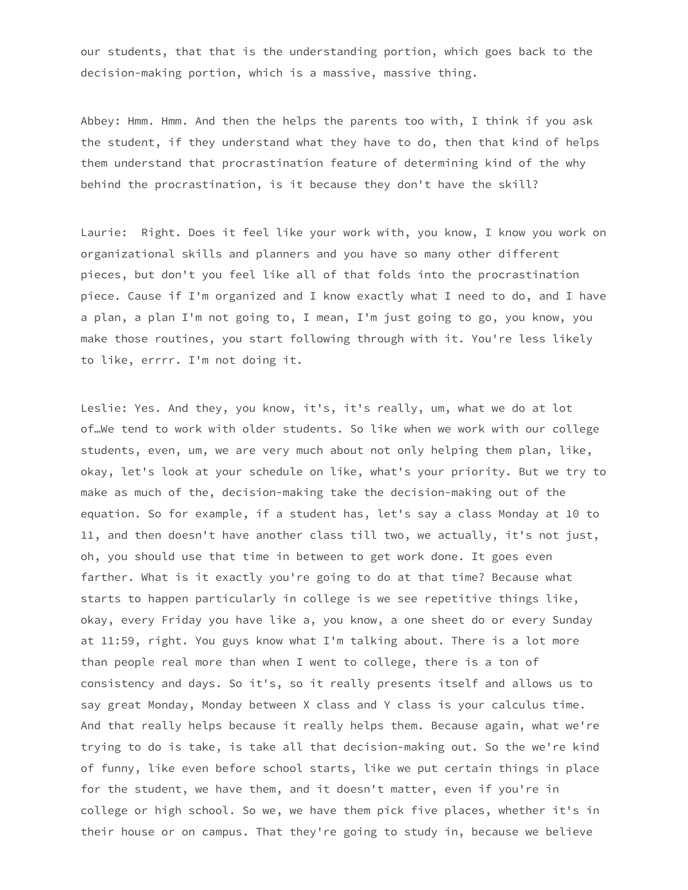our students, that that is the understanding portion, which goes back to the decision-making portion, which is a massive, massive thing.

Abbey: Hmm. Hmm. And then the helps the parents too with, I think if you ask the student, if they understand what they have to do, then that kind of helps them understand that procrastination feature of determining kind of the why behind the procrastination, is it because they don't have the skill?

Laurie: Right. Does it feel like your work with, you know, I know you work on organizational skills and planners and you have so many other different pieces, but don't you feel like all of that folds into the procrastination piece. Cause if I'm organized and I know exactly what I need to do, and I have a plan, a plan I'm not going to, I mean, I'm just going to go, you know, you make those routines, you start following through with it. You're less likely to like, errrr. I'm not doing it.

Leslie: Yes. And they, you know, it's, it's really, um, what we do at lot of…We tend to work with older students. So like when we work with our college students, even, um, we are very much about not only helping them plan, like, okay, let's look at your schedule on like, what's your priority. But we try to make as much of the, decision-making take the decision-making out of the equation. So for example, if a student has, let's say a class Monday at 10 to 11, and then doesn't have another class till two, we actually, it's not just, oh, you should use that time in between to get work done. It goes even farther. What is it exactly you're going to do at that time? Because what starts to happen particularly in college is we see repetitive things like, okay, every Friday you have like a, you know, a one sheet do or every Sunday at 11:59, right. You guys know what I'm talking about. There is a lot more than people real more than when I went to college, there is a ton of consistency and days. So it's, so it really presents itself and allows us to say great Monday, Monday between X class and Y class is your calculus time. And that really helps because it really helps them. Because again, what we're trying to do is take, is take all that decision-making out. So the we're kind of funny, like even before school starts, like we put certain things in place for the student, we have them, and it doesn't matter, even if you're in college or high school. So we, we have them pick five places, whether it's in their house or on campus. That they're going to study in, because we believe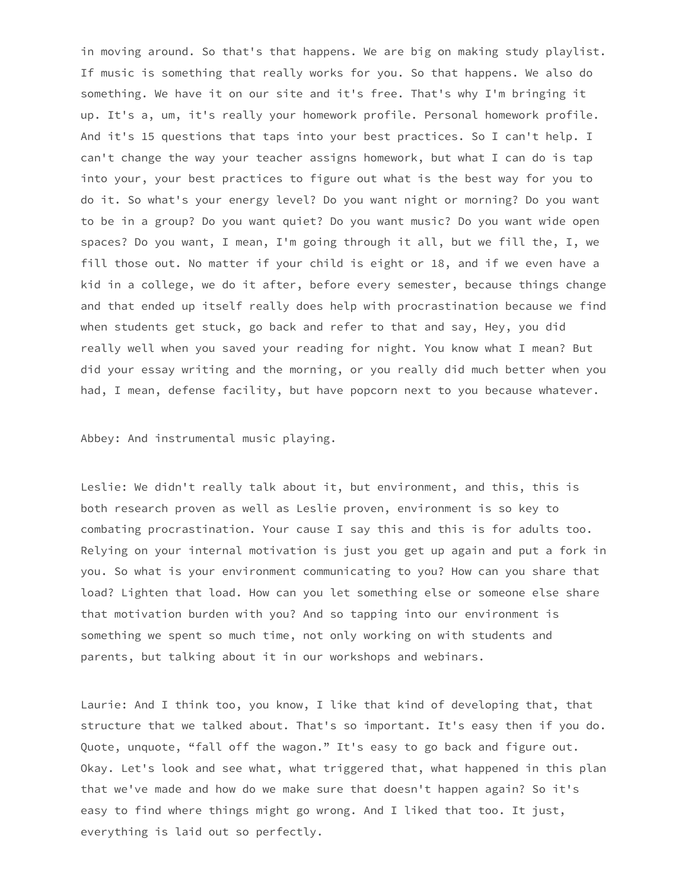in moving around. So that's that happens. We are big on making study playlist. If music is something that really works for you. So that happens. We also do something. We have it on our site and it's free. That's why I'm bringing it up. It's a, um, it's really your homework profile. Personal homework profile. And it's 15 questions that taps into your best practices. So I can't help. I can't change the way your teacher assigns homework, but what I can do is tap into your, your best practices to figure out what is the best way for you to do it. So what's your energy level? Do you want night or morning? Do you want to be in a group? Do you want quiet? Do you want music? Do you want wide open spaces? Do you want, I mean, I'm going through it all, but we fill the, I, we fill those out. No matter if your child is eight or 18, and if we even have a kid in a college, we do it after, before every semester, because things change and that ended up itself really does help with procrastination because we find when students get stuck, go back and refer to that and say, Hey, you did really well when you saved your reading for night. You know what I mean? But did your essay writing and the morning, or you really did much better when you had, I mean, defense facility, but have popcorn next to you because whatever.

Abbey: And instrumental music playing.

Leslie: We didn't really talk about it, but environment, and this, this is both research proven as well as Leslie proven, environment is so key to combating procrastination. Your cause I say this and this is for adults too. Relying on your internal motivation is just you get up again and put a fork in you. So what is your environment communicating to you? How can you share that load? Lighten that load. How can you let something else or someone else share that motivation burden with you? And so tapping into our environment is something we spent so much time, not only working on with students and parents, but talking about it in our workshops and webinars.

Laurie: And I think too, you know, I like that kind of developing that, that structure that we talked about. That's so important. It's easy then if you do. Quote, unquote, "fall off the wagon." It's easy to go back and figure out. Okay. Let's look and see what, what triggered that, what happened in this plan that we've made and how do we make sure that doesn't happen again? So it's easy to find where things might go wrong. And I liked that too. It just, everything is laid out so perfectly.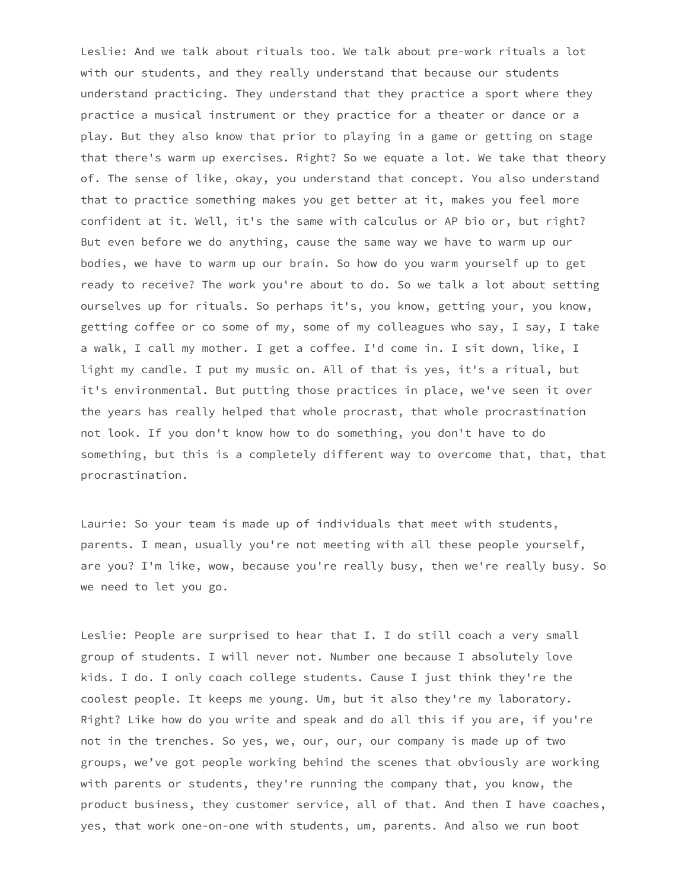Leslie: And we talk about rituals too. We talk about pre-work rituals a lot with our students, and they really understand that because our students understand practicing. They understand that they practice a sport where they practice a musical instrument or they practice for a theater or dance or a play. But they also know that prior to playing in a game or getting on stage that there's warm up exercises. Right? So we equate a lot. We take that theory of. The sense of like, okay, you understand that concept. You also understand that to practice something makes you get better at it, makes you feel more confident at it. Well, it's the same with calculus or AP bio or, but right? But even before we do anything, cause the same way we have to warm up our bodies, we have to warm up our brain. So how do you warm yourself up to get ready to receive? The work you're about to do. So we talk a lot about setting ourselves up for rituals. So perhaps it's, you know, getting your, you know, getting coffee or co some of my, some of my colleagues who say, I say, I take a walk, I call my mother. I get a coffee. I'd come in. I sit down, like, I light my candle. I put my music on. All of that is yes, it's a ritual, but it's environmental. But putting those practices in place, we've seen it over the years has really helped that whole procrast, that whole procrastination not look. If you don't know how to do something, you don't have to do something, but this is a completely different way to overcome that, that, that procrastination.

Laurie: So your team is made up of individuals that meet with students, parents. I mean, usually you're not meeting with all these people yourself, are you? I'm like, wow, because you're really busy, then we're really busy. So we need to let you go.

Leslie: People are surprised to hear that I. I do still coach a very small group of students. I will never not. Number one because I absolutely love kids. I do. I only coach college students. Cause I just think they're the coolest people. It keeps me young. Um, but it also they're my laboratory. Right? Like how do you write and speak and do all this if you are, if you're not in the trenches. So yes, we, our, our, our company is made up of two groups, we've got people working behind the scenes that obviously are working with parents or students, they're running the company that, you know, the product business, they customer service, all of that. And then I have coaches, yes, that work one-on-one with students, um, parents. And also we run boot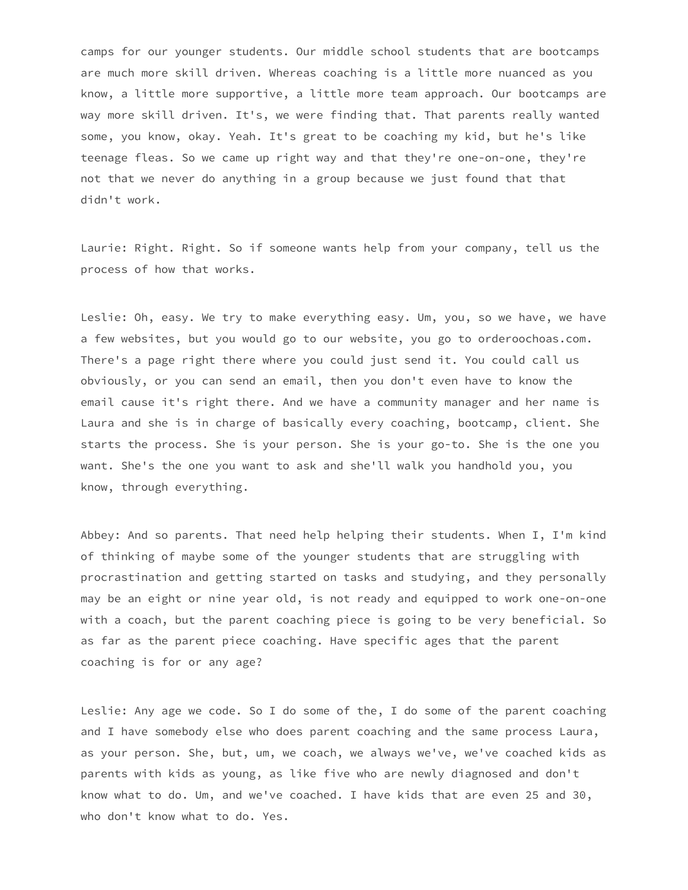camps for our younger students. Our middle school students that are bootcamps are much more skill driven. Whereas coaching is a little more nuanced as you know, a little more supportive, a little more team approach. Our bootcamps are way more skill driven. It's, we were finding that. That parents really wanted some, you know, okay. Yeah. It's great to be coaching my kid, but he's like teenage fleas. So we came up right way and that they're one-on-one, they're not that we never do anything in a group because we just found that that didn't work.

Laurie: Right. Right. So if someone wants help from your company, tell us the process of how that works.

Leslie: Oh, easy. We try to make everything easy. Um, you, so we have, we have a few websites, but you would go to our website, you go to orderoochoas.com. There's a page right there where you could just send it. You could call us obviously, or you can send an email, then you don't even have to know the email cause it's right there. And we have a community manager and her name is Laura and she is in charge of basically every coaching, bootcamp, client. She starts the process. She is your person. She is your go-to. She is the one you want. She's the one you want to ask and she'll walk you handhold you, you know, through everything.

Abbey: And so parents. That need help helping their students. When I, I'm kind of thinking of maybe some of the younger students that are struggling with procrastination and getting started on tasks and studying, and they personally may be an eight or nine year old, is not ready and equipped to work one-on-one with a coach, but the parent coaching piece is going to be very beneficial. So as far as the parent piece coaching. Have specific ages that the parent coaching is for or any age?

Leslie: Any age we code. So I do some of the, I do some of the parent coaching and I have somebody else who does parent coaching and the same process Laura, as your person. She, but, um, we coach, we always we've, we've coached kids as parents with kids as young, as like five who are newly diagnosed and don't know what to do. Um, and we've coached. I have kids that are even 25 and 30, who don't know what to do. Yes.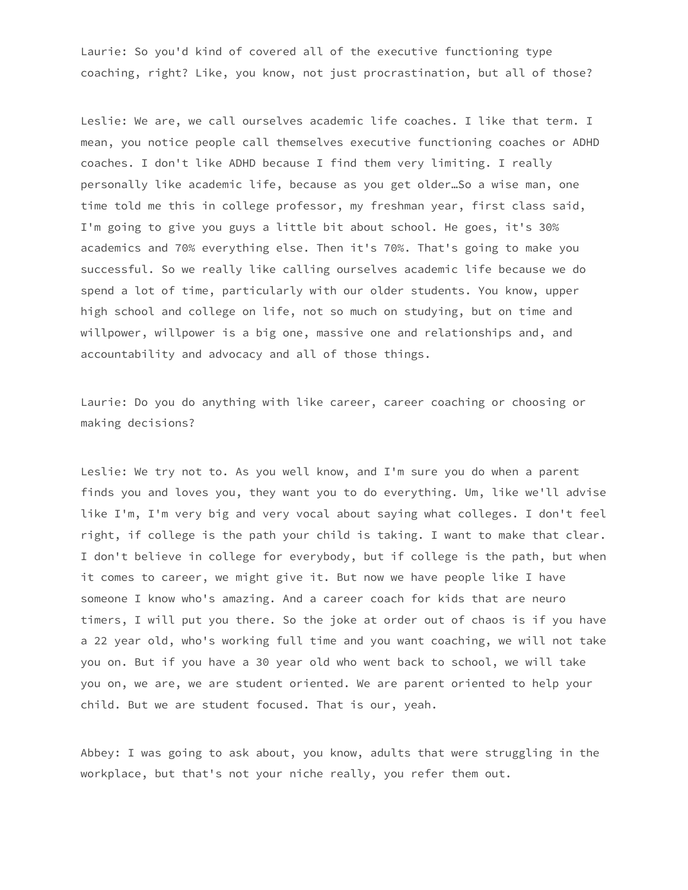Laurie: So you'd kind of covered all of the executive functioning type coaching, right? Like, you know, not just procrastination, but all of those?

Leslie: We are, we call ourselves academic life coaches. I like that term. I mean, you notice people call themselves executive functioning coaches or ADHD coaches. I don't like ADHD because I find them very limiting. I really personally like academic life, because as you get older…So a wise man, one time told me this in college professor, my freshman year, first class said, I'm going to give you guys a little bit about school. He goes, it's 30% academics and 70% everything else. Then it's 70%. That's going to make you successful. So we really like calling ourselves academic life because we do spend a lot of time, particularly with our older students. You know, upper high school and college on life, not so much on studying, but on time and willpower, willpower is a big one, massive one and relationships and, and accountability and advocacy and all of those things.

Laurie: Do you do anything with like career, career coaching or choosing or making decisions?

Leslie: We try not to. As you well know, and I'm sure you do when a parent finds you and loves you, they want you to do everything. Um, like we'll advise like I'm, I'm very big and very vocal about saying what colleges. I don't feel right, if college is the path your child is taking. I want to make that clear. I don't believe in college for everybody, but if college is the path, but when it comes to career, we might give it. But now we have people like I have someone I know who's amazing. And a career coach for kids that are neuro timers, I will put you there. So the joke at order out of chaos is if you have a 22 year old, who's working full time and you want coaching, we will not take you on. But if you have a 30 year old who went back to school, we will take you on, we are, we are student oriented. We are parent oriented to help your child. But we are student focused. That is our, yeah.

Abbey: I was going to ask about, you know, adults that were struggling in the workplace, but that's not your niche really, you refer them out.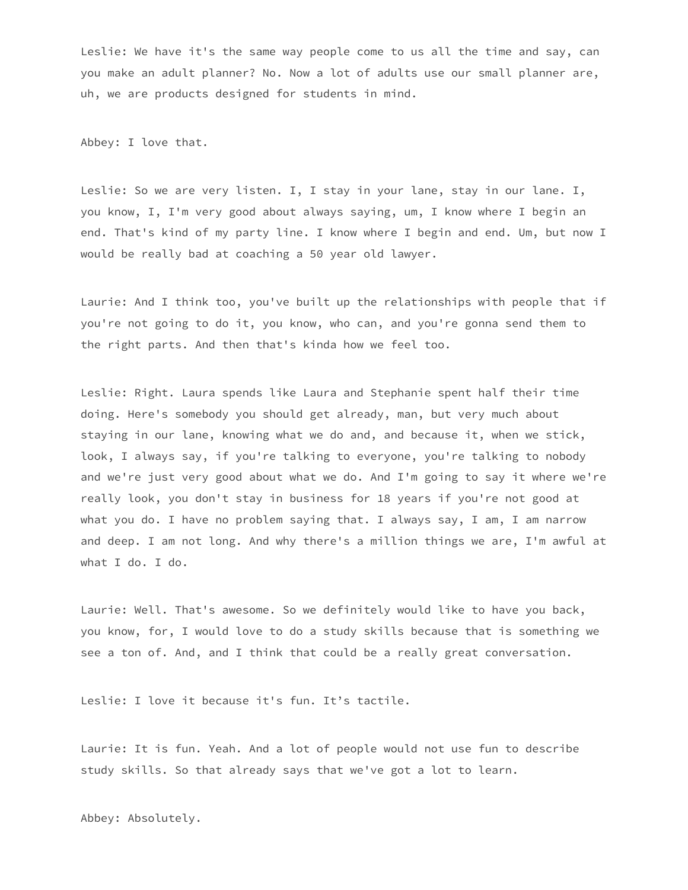Leslie: We have it's the same way people come to us all the time and say, can you make an adult planner? No. Now a lot of adults use our small planner are, uh, we are products designed for students in mind.

Abbey: I love that.

Leslie: So we are very listen. I, I stay in your lane, stay in our lane. I, you know, I, I'm very good about always saying, um, I know where I begin an end. That's kind of my party line. I know where I begin and end. Um, but now I would be really bad at coaching a 50 year old lawyer.

Laurie: And I think too, you've built up the relationships with people that if you're not going to do it, you know, who can, and you're gonna send them to the right parts. And then that's kinda how we feel too.

Leslie: Right. Laura spends like Laura and Stephanie spent half their time doing. Here's somebody you should get already, man, but very much about staying in our lane, knowing what we do and, and because it, when we stick, look, I always say, if you're talking to everyone, you're talking to nobody and we're just very good about what we do. And I'm going to say it where we're really look, you don't stay in business for 18 years if you're not good at what you do. I have no problem saying that. I always say, I am, I am narrow and deep. I am not long. And why there's a million things we are, I'm awful at what I do. I do.

Laurie: Well. That's awesome. So we definitely would like to have you back, you know, for, I would love to do a study skills because that is something we see a ton of. And, and I think that could be a really great conversation.

Leslie: I love it because it's fun. It's tactile.

Laurie: It is fun. Yeah. And a lot of people would not use fun to describe study skills. So that already says that we've got a lot to learn.

Abbey: Absolutely.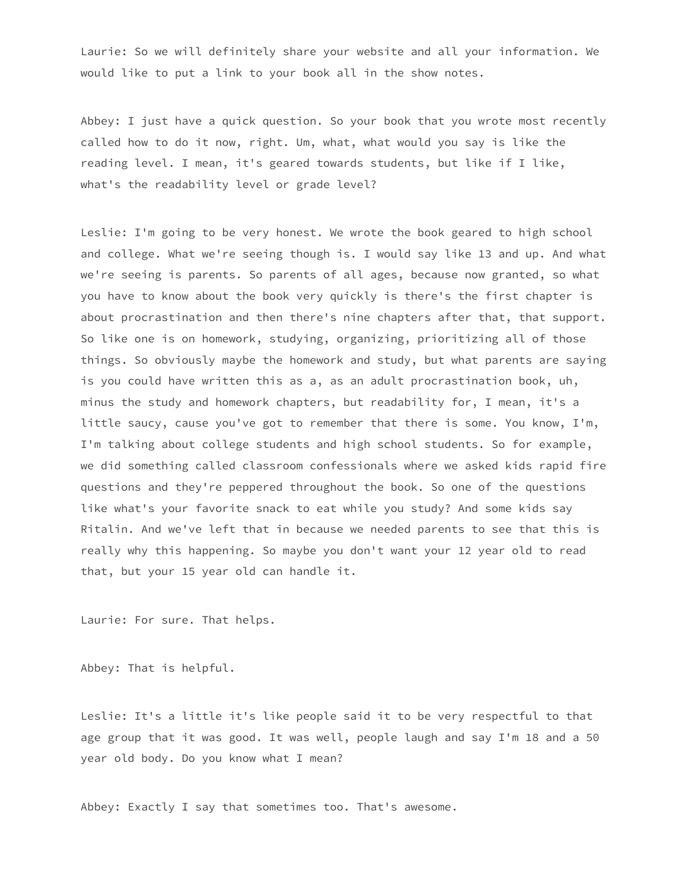Laurie: So we will definitely share your website and all your information. We would like to put a link to your book all in the show notes.

Abbey: I just have a quick question. So your book that you wrote most recently called how to do it now, right. Um, what, what would you say is like the reading level. I mean, it's geared towards students, but like if I like, what's the readability level or grade level?

Leslie: I'm going to be very honest. We wrote the book geared to high school and college. What we're seeing though is. I would say like 13 and up. And what we're seeing is parents. So parents of all ages, because now granted, so what you have to know about the book very quickly is there's the first chapter is about procrastination and then there's nine chapters after that, that support. So like one is on homework, studying, organizing, prioritizing all of those things. So obviously maybe the homework and study, but what parents are saying is you could have written this as a, as an adult procrastination book, uh, minus the study and homework chapters, but readability for, I mean, it's a little saucy, cause you've got to remember that there is some. You know, I'm, I'm talking about college students and high school students. So for example, we did something called classroom confessionals where we asked kids rapid fire questions and they're peppered throughout the book. So one of the questions like what's your favorite snack to eat while you study? And some kids say Ritalin. And we've left that in because we needed parents to see that this is really why this happening. So maybe you don't want your 12 year old to read that, but your 15 year old can handle it.

Laurie: For sure. That helps.

Abbey: That is helpful.

Leslie: It's a little it's like people said it to be very respectful to that age group that it was good. It was well, people laugh and say I'm 18 and a 50 year old body. Do you know what I mean?

Abbey: Exactly I say that sometimes too. That's awesome.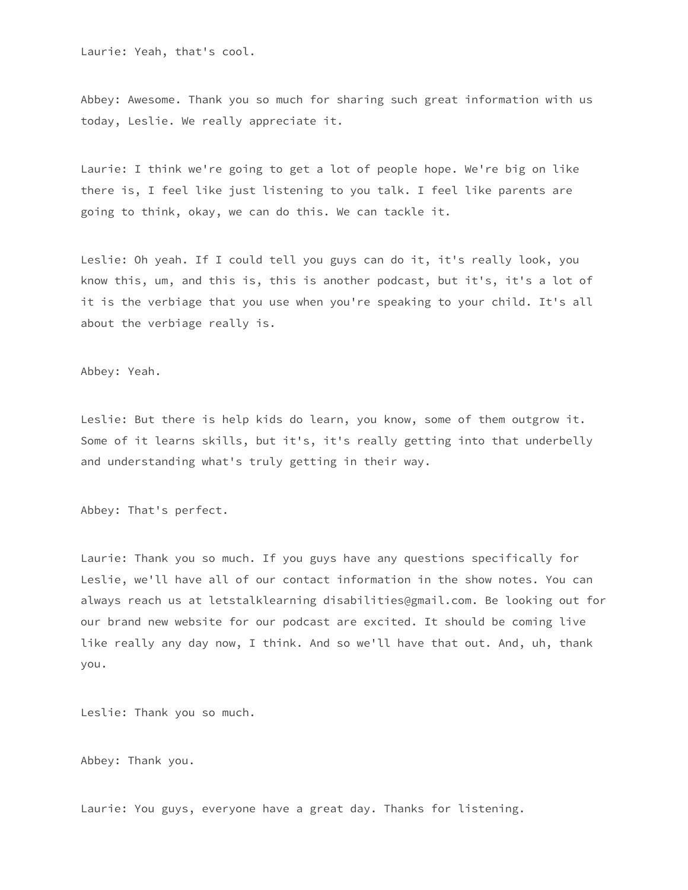Laurie: Yeah, that's cool.

Abbey: Awesome. Thank you so much for sharing such great information with us today, Leslie. We really appreciate it.

Laurie: I think we're going to get a lot of people hope. We're big on like there is, I feel like just listening to you talk. I feel like parents are going to think, okay, we can do this. We can tackle it.

Leslie: Oh yeah. If I could tell you guys can do it, it's really look, you know this, um, and this is, this is another podcast, but it's, it's a lot of it is the verbiage that you use when you're speaking to your child. It's all about the verbiage really is.

Abbey: Yeah.

Leslie: But there is help kids do learn, you know, some of them outgrow it. Some of it learns skills, but it's, it's really getting into that underbelly and understanding what's truly getting in their way.

Abbey: That's perfect.

Laurie: Thank you so much. If you guys have any questions specifically for Leslie, we'll have all of our contact information in the show notes. You can always reach us at letstalklearning disabilities@gmail.com. Be looking out for our brand new website for our podcast are excited. It should be coming live like really any day now, I think. And so we'll have that out. And, uh, thank you.

Leslie: Thank you so much.

Abbey: Thank you.

Laurie: You guys, everyone have a great day. Thanks for listening.